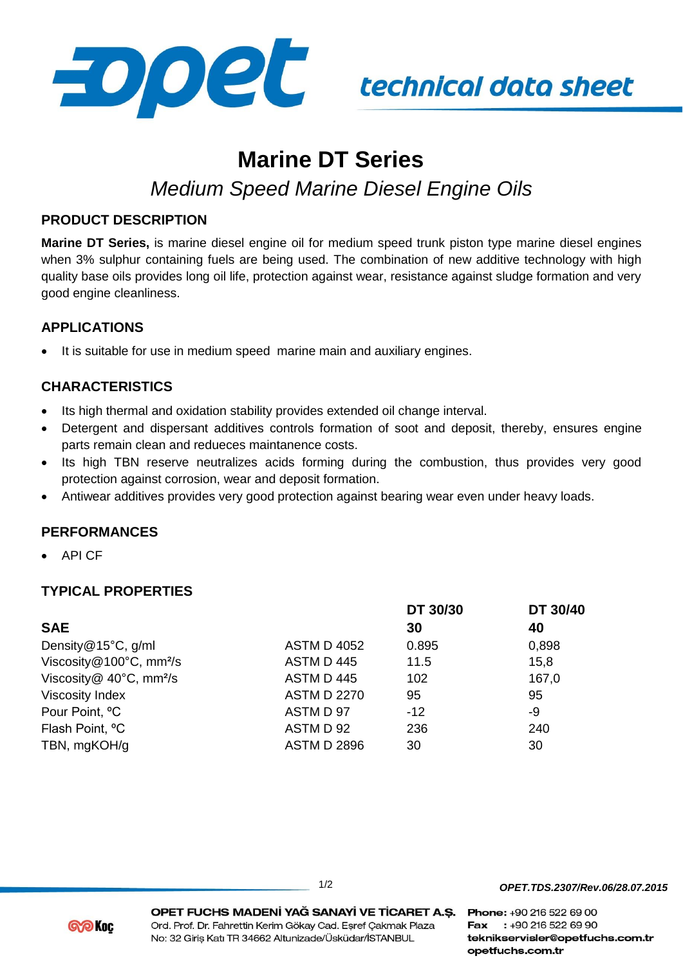

# technical data sheet

## **Marine DT Series**

### *Medium Speed Marine Diesel Engine Oils*

#### **PRODUCT DESCRIPTION**

**Marine DT Series,** is marine diesel engine oil for medium speed trunk piston type marine diesel engines when 3% sulphur containing fuels are being used. The combination of new additive technology with high quality base oils provides long oil life, protection against wear, resistance against sludge formation and very good engine cleanliness.

#### **APPLICATIONS**

It is suitable for use in medium speed marine main and auxiliary engines.

#### **CHARACTERISTICS**

- Its high thermal and oxidation stability provides extended oil change interval.
- Detergent and dispersant additives controls formation of soot and deposit, thereby, ensures engine parts remain clean and redueces maintanence costs.
- Its high TBN reserve neutralizes acids forming during the combustion, thus provides very good protection against corrosion, wear and deposit formation.
- Antiwear additives provides very good protection against bearing wear even under heavy loads.

#### **PERFORMANCES**

API CF

#### **TYPICAL PROPERTIES**

|                                            |                    | DT 30/30 | DT 30/40 |
|--------------------------------------------|--------------------|----------|----------|
| <b>SAE</b>                                 |                    | 30       | 40       |
| Density@15°C, g/ml                         | <b>ASTM D 4052</b> | 0.895    | 0,898    |
| Viscosity@100°C, mm <sup>2</sup> /s        | ASTM D 445         | 11.5     | 15,8     |
| Viscosity $@$ 40 $°C$ , mm <sup>2</sup> /s | ASTM D 445         | 102      | 167,0    |
| <b>Viscosity Index</b>                     | <b>ASTM D 2270</b> | 95       | 95       |
| Pour Point, °C                             | ASTM D 97          | $-12$    | -9       |
| Flash Point, <sup>o</sup> C                | ASTM D 92          | 236      | 240      |
| TBN, mgKOH/g                               | <b>ASTM D 2896</b> | 30       | 30       |

*OPET.TDS.2307/Rev.06/28.07.2015*

**@@Koc** 

OPET FUCHS MADENİ YAĞ SANAYİ VE TİCARET A.Ş. Phone: +90 216 522 69 00 Ord. Prof. Dr. Fahrettin Kerim Gökay Cad. Esref Çakmak Plaza No: 32 Giriş Katı TR 34662 Altunizade/Üsküdar/İSTANBUL

Fax: +90 216 522 69 90 teknikservisler@opetfuchs.com.tr opetfuchs.com.tr